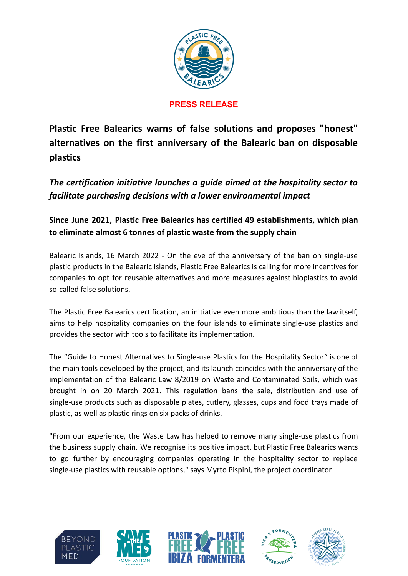

# **PRESS RELEASE**

**Plastic Free Balearics warns of false solutions and proposes "honest" alternatives on the first anniversary of the Balearic ban on disposable plastics**

*The certification initiative launches a guide aimed at the hospitality sector to facilitate purchasing decisions with a lower environmental impact*

**Since June 2021, Plastic Free Balearics has certified 49 establishments, which plan to eliminate almost 6 tonnes of plastic waste from the supply chain**

Balearic Islands, 16 March 2022 - On the eve of the anniversary of the ban on single-use plastic products in the Balearic Islands, Plastic Free Balearics is calling for more incentives for companies to opt for reusable alternatives and more measures against bioplastics to avoid so-called false solutions.

The Plastic Free Balearics certification, an initiative even more ambitious than the law itself, aims to help hospitality companies on the four islands to eliminate single-use plastics and provides the sector with tools to facilitate its implementation.

The "Guide to Honest Alternatives to Single-use Plastics for the Hospitality Sector" is one of the main tools developed by the project, and its launch coincides with the anniversary of the implementation of the Balearic Law 8/2019 on Waste and Contaminated Soils, which was brought in on 20 March 2021. This regulation bans the sale, distribution and use of single-use products such as disposable plates, cutlery, glasses, cups and food trays made of plastic, as well as plastic rings on six-packs of drinks.

"From our experience, the Waste Law has helped to remove many single-use plastics from the business supply chain. We recognise its positive impact, but Plastic Free Balearics wants to go further by encouraging companies operating in the hospitality sector to replace single-use plastics with reusable options," says Myrto Pispini, the project coordinator.





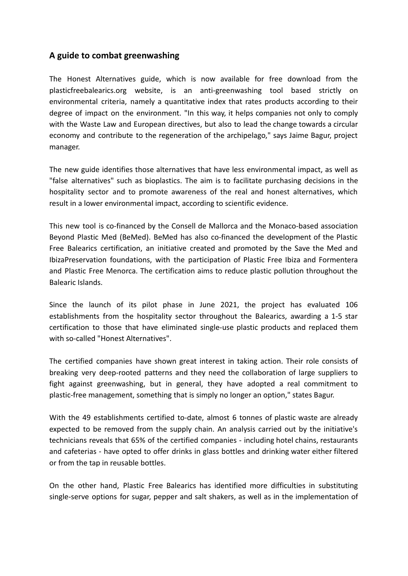# **A guide to combat greenwashing**

The Honest Alternatives guide, which is now available for free download from the plasticfreebalearics.org website, is an anti-greenwashing tool based strictly on environmental criteria, namely a quantitative index that rates products according to their degree of impact on the environment. "In this way, it helps companies not only to comply with the Waste Law and European directives, but also to lead the change towards a circular economy and contribute to the regeneration of the archipelago," says Jaime Bagur, project manager.

The new guide identifies those alternatives that have less environmental impact, as well as "false alternatives" such as bioplastics. The aim is to facilitate purchasing decisions in the hospitality sector and to promote awareness of the real and honest alternatives, which result in a lower environmental impact, according to scientific evidence.

This new tool is co-financed by the Consell de Mallorca and the Monaco-based association Beyond Plastic Med (BeMed). BeMed has also co-financed the development of the Plastic Free Balearics certification, an initiative created and promoted by the Save the Med and IbizaPreservation foundations, with the participation of Plastic Free Ibiza and Formentera and Plastic Free Menorca. The certification aims to reduce plastic pollution throughout the Balearic Islands.

Since the launch of its pilot phase in June 2021, the project has evaluated 106 establishments from the hospitality sector throughout the Balearics, awarding a 1-5 star certification to those that have eliminated single-use plastic products and replaced them with so-called "Honest Alternatives".

The certified companies have shown great interest in taking action. Their role consists of breaking very deep-rooted patterns and they need the collaboration of large suppliers to fight against greenwashing, but in general, they have adopted a real commitment to plastic-free management, something that is simply no longer an option," states Bagur.

With the 49 establishments certified to-date, almost 6 tonnes of plastic waste are already expected to be removed from the supply chain. An analysis carried out by the initiative's technicians reveals that 65% of the certified companies - including hotel chains, restaurants and cafeterias - have opted to offer drinks in glass bottles and drinking water either filtered or from the tap in reusable bottles.

On the other hand, Plastic Free Balearics has identified more difficulties in substituting single-serve options for sugar, pepper and salt shakers, as well as in the implementation of